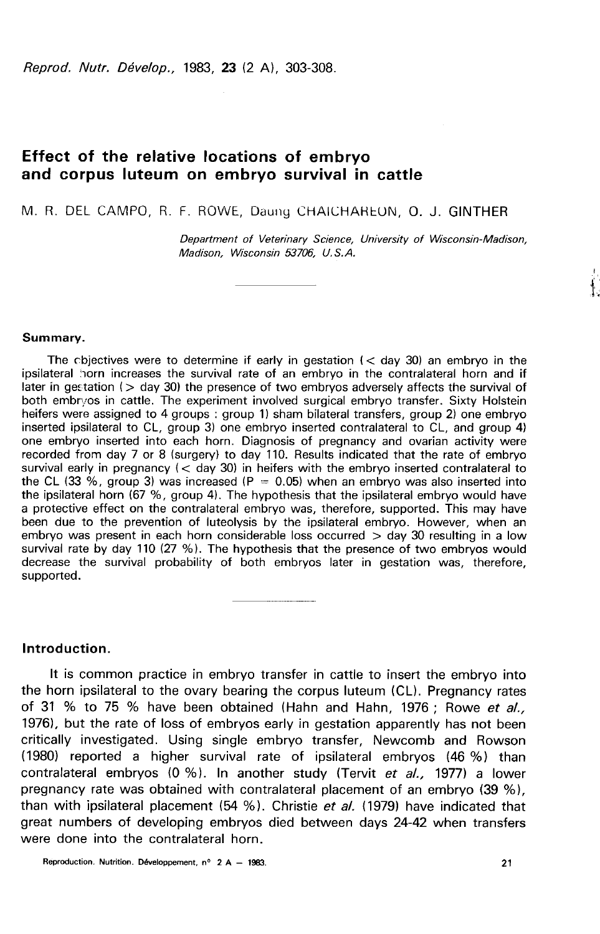Reprod. Nutr. Dévelop., 1983, 23 (2 A), 303-308.

# Effect of the relative locations of embryo and corpus luteum on embryo survival in cattle

M. R. DEL CAMPO, R. F. ROWE, Daung CHAICHAREON O. J. GINTHER

Department of Veterinary Science, University of Wisconsin-Madison, Madison, Wisconsin 53706, U. S. A.

#### Summary.

The cbjectives were to determine if early in gestation  $(<$  day 30) an embryo in the ipsilateral horn increases the survival rate of an embryo in the contralateral horn and if later in gestation ( $>$  day 30) the presence of two embryos adversely affects the survival of both embryos in cattle. The experiment involved surgical embryo transfer. Sixty Holstein heifers were assigned to 4 groups : group 1) sham bilateral transfers, group 2) one embryo inserted ipsilateral to CL, group 3) one embryo inserted contralateral to CL, and group 4) one embryo inserted into each horn. Diagnosis of pregnancy and ovarian activity were recorded from day 7 or 8 (surgery) to day 110. Results indicated that the rate of embryo survival early in pregnancy ( $<$  day 30) in heifers with the embryo inserted contralateral to the CL (33 %, group 3) was increased (P =  $0.05$ ) when an embryo was also inserted into the ipsilateral horn (67 %, group 4). The hypothesis that the ipsilateral embryo would have a protective effect on the contralateral embryo was, therefore, supported. This may have been due to the prevention of luteolysis by the ipsilateral embryo. However, when an embryo was present in each horn considerable loss occurred  $>$  day 30 resulting in a low survival rate by day 110 (27 %). The hypothesis that the presence of two embryos would decrease the survival probability of both embryos later in gestation was, therefore, supported.

Introduction.

It is common practice in embryo transfer in cattle to insert the embryo into the horn ipsilateral to the ovary bearing the corpus luteum (CL). Pregnancy rates of 31 % to 75 % have been obtained (Hahn and Hahn, 1976; Rowe et al., 1976), but the rate of loss of embryos early in gestation apparently has not been critically investigated. Using single embryo transfer, Newcomb and Rowson (1980) reported a higher survival rate of ipsilateral embryos (46 %) than contralateral embryos (0 %). In another study (Tervit et al., 1977) a lower pregnancy rate was obtained with contralateral placement of an embryo (39 %), than with ipsilateral placement  $(54, %)$ . Christie et al. (1979) have indicated that great numbers of developing embryos died between days 24-42 when transfers were done into the contralateral horn.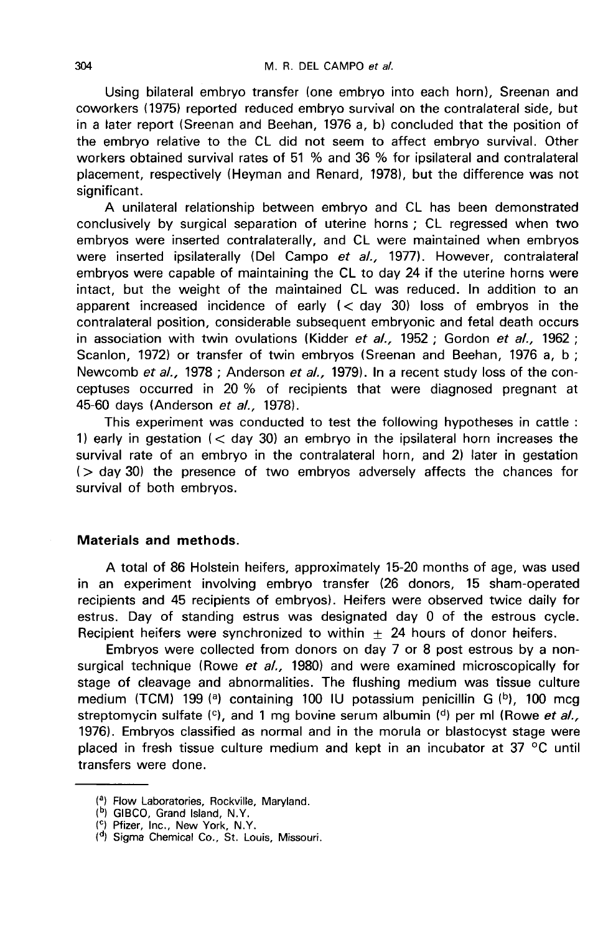Using bilateral embryo transfer (one embryo into each horn), Sreenan and coworkers (1975) reported reduced embryo survival on the contralateral side, but in a later report (Sreenan and Beehan, 1976 a, b) concluded that the position of the embryo relative to the CL did not seem to affect embryo survival. Other workers obtained survival rates of 51 % and 36 % for ipsilateral and contralateral placement, respectively (Heyman and Renard, 1978), but the difference was not significant.

A unilateral relationship between embryo and CL has been demonstrated conclusively by surgical separation of uterine horns ; CL regressed when two embryos were inserted contralaterally, and CL were maintained when embryos were inserted ipsilaterally (Del Campo et al., 1977). However, contralateral embryos were capable of maintaining the CL to day 24 if the uterine horns were intact, but the weight of the maintained CL was reduced. In addition to an apparent increased incidence of early  $(<$  day 30) loss of embryos in the contralateral position, considerable subsequent embryonic and fetal death occurs in association with twin ovulations (Kidder et al., 1952 ; Gordon et al., 1962 ; Scanlon, 1972) or transfer of twin embryos (Sreenan and Beehan, 1976 a, b ; Newcomb et al., 1978 ; Anderson et al., 1979). In a recent study loss of the conceptuses occurred in 20 % of recipients that were diagnosed pregnant at 45-60 days (Anderson et al., 1978).

This experiment was conducted to test the following hypotheses in cattle : 1) early in gestation  $(<$  day 30) an embryo in the ipsilateral horn increases the survival rate of an embryo in the contralateral horn, and 2) later in gestation  $($   $>$  day 30) the presence of two embryos adversely affects the chances for survival of both embryos.

## Materials and methods.

A total of 86 Holstein heifers, approximately 15-20 months of age, was used in an experiment involving embryo transfer (26 donors, 15 sham-operated recipients and 45 recipients of embryos). Heifers were observed twice daily for estrus. Day of standing estrus was designated day 0 of the estrous cycle. Recipient heifers were synchronized to within  $\pm$  24 hours of donor heifers.

Embryos were collected from donors on day 7 or 8 post estrous by a nonsurgical technique (Rowe et al., 1980) and were examined microscopically for stage of cleavage and abnormalities. The flushing medium was tissue culture medium (TCM) 199 (a) containing 100 IU potassium penicillin G  $(b)$ , 100 mcg streptomycin sulfate  $(0)$ , and 1 mg bovine serum albumin  $(0)$  per ml (Rowe et al., 1976). Embryos classified as normal and in the morula or blastocyst stage were placed in fresh tissue culture medium and kept in an incubator at 37 °C until transfers were done.

<sup>&</sup>lt;sup>(a</sup>) Flow Laboratories, Rockville, Maryland.<br><sup>(b</sup>) GIBCO, Grand Island, N.Y.

<sup>(!)</sup> Pfizer, Inc., New York, N.Y.

<sup>(</sup>d) Sigma Chemical Co., St. Louis, Missouri.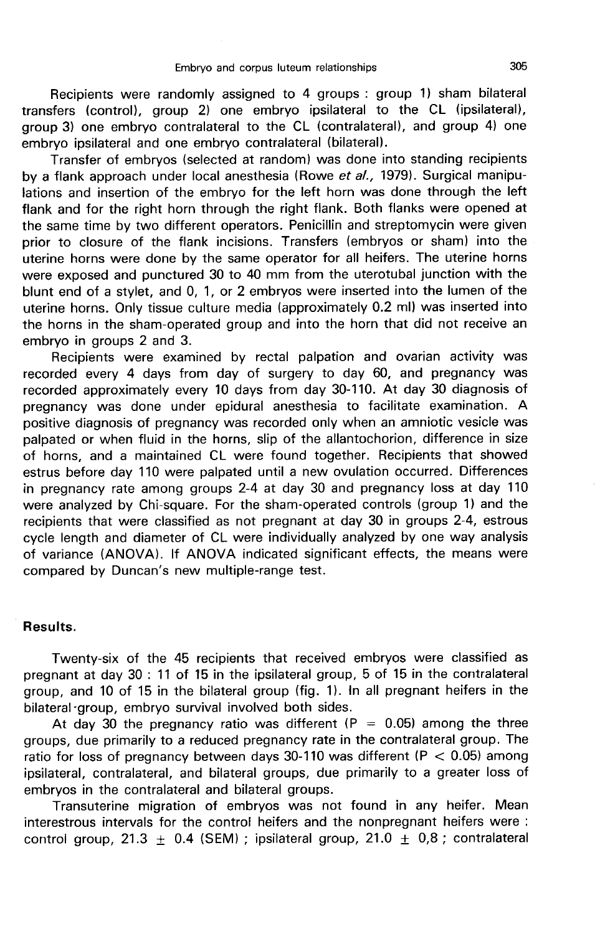Recipients were randomly assigned to 4 groups : group 1) sham bilateral transfers (control), group 2) one embryo ipsilateral to the CL (ipsilateral), group 3) one embryo contralateral to the CL (contralateral), and group 4) one embryo ipsilateral and one embryo contralateral (bilateral).

Transfer of embryos (selected at random) was done into standing recipients by a flank approach under local anesthesia (Rowe et al., 1979). Surgical manipulations and insertion of the embryo for the left horn was done through the left flank and for the right horn through the right flank. Both flanks were opened at the same time by two different operators. Penicillin and streptomycin were given prior to closure of the flank incisions. Transfers (embryos or sham) into the uterine horns were done by the same operator for all heifers. The uterine horns were exposed and punctured 30 to 40 mm from the uterotubal junction with the blunt end of a stylet, and 0, 1, or 2 embryos were inserted into the lumen of the uterine horns. Only tissue culture media (approximately 0.2 ml) was inserted into the horns in the sham-operated group and into the horn that did not receive an embryo in groups 2 and 3.

Recipients were examined by rectal palpation and ovarian activity was recorded every 4 days from day of surgery to day 60, and pregnancy was recorded approximately every 10 days from day 30-110. At day 30 diagnosis of pregnancy was done under epidural anesthesia to facilitate examination. A positive diagnosis of pregnancy was recorded only when an amniotic vesicle was palpated or when fluid in the horns, slip of the allantochorion, difference in size of horns, and a maintained CL were found together. Recipients that showed estrus before day 110 were palpated until a new ovulation occurred. Differences in pregnancy rate among groups 2-4 at day 30 and pregnancy loss at day 110 were analyzed by Chi-square. For the sham-operated controls (group 1) and the recipients that were classified as not pregnant at day 30 in groups 2-4, estrous cycle length and diameter of CL were individually analyzed by one way analysis of variance (ANOVA). If ANOVA indicated significant effects, the means were compared by Duncan's new multiple-range test.

### Results.

Twenty-six of the 45 recipients that received embryos were classified as pregnant at day 30 : 11 of 15 in the ipsilateral group, 5 of 15 in the contralateral group, and 10 of 15 in the bilateral group (fig. 1). In all pregnant heifers in the bilateral-group, embryo survival involved both sides.

At day 30 the pregnancy ratio was different (P = 0.05) among the three groups, due primarily to a reduced pregnancy rate in the contralateral group. The ratio for loss of pregnancy between days 30-110 was different ( $P < 0.05$ ) among ipsilateral, contralateral, and bilateral groups, due primarily to a greater loss of embryos in the contralateral and bilateral groups.

Transuterine migration of embryos was not found in any heifer. Mean interestrous intervals for the control heifers and the nonpregnant heifers were : control group, 21.3  $\pm$  0.4 (SEM); ipsilateral group, 21.0  $\pm$  0,8; contralateral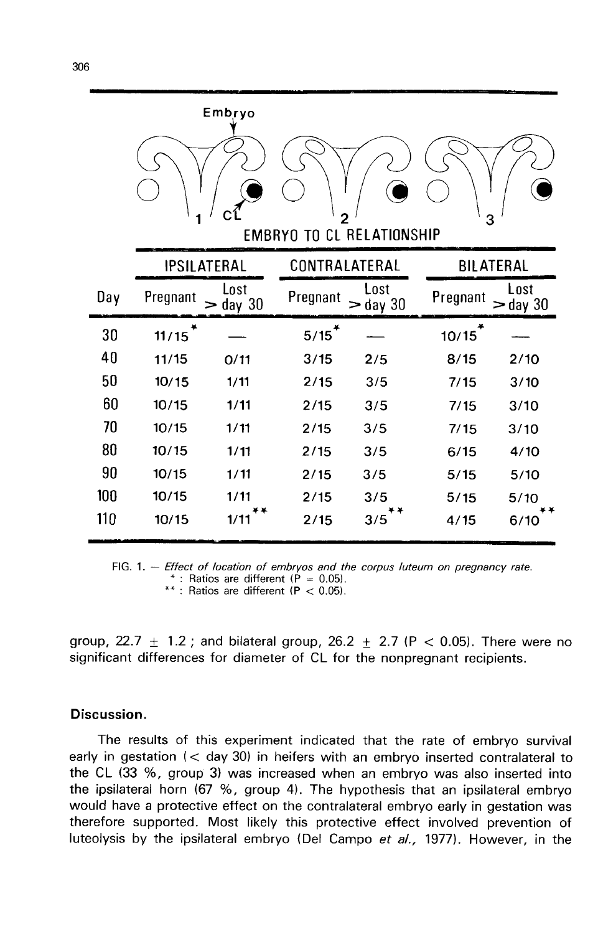|     |                      | Embryo           |               |                                  |                  |                    |
|-----|----------------------|------------------|---------------|----------------------------------|------------------|--------------------|
|     | 1                    |                  | 2             | <b>EMBRYO TO CL RELATIONSHIP</b> | 3                |                    |
|     | <b>IPSILATERAL</b>   |                  | CONTRALATERAL |                                  | <b>BILATERAL</b> |                    |
| Day | Pregnant             | Lost<br>- day 30 | Pregnant      | Lost<br>$>$ day 30               | Pregnant         | Lost<br>$>$ day 30 |
| 30  | $11/15$ <sup>*</sup> |                  | 5/15          |                                  | 10/15            |                    |
| 40  | 11/15                | 0/11             | 3/15          | 2/5                              | 8/15             | 2/10               |
| 50  | 10/15                | 1/11             | 2/15          | 3/5                              | 7/15             | 3/10               |
| 60  | 10/15                | 1/11             | 2/15          | 3/5                              | 7/15             | 3/10               |
| 70  | 10/15                | 1/11             | 2/15          | 3/5                              | 7/15             | 3/10               |
| 80  | 10/15                | 1/11             | 2/15          | 3/5                              | 6/15             | 4/10               |
| 90  | 10/15                | 1/11             | 2/15          | 3/5                              | 5/15             | 5/10               |
| 100 | 10/15                | 1/11             | 2/15          | 3/5                              | 5/15             | 5/10               |
| 110 | 10/15                | 1/11             | 2/15          | 3/5                              | 4/15             | 6/10               |

FIG. 1. - Effect of location of embryos and the corpus luteum on pregnancy rate. \* : Ratios are different ( $\dot{P} = 0.05$ ). \*\*: Ratios are different  $(P < 0.05)$ .

group, 22.7  $\pm$  1.2; and bilateral group, 26.2  $\pm$  2.7 (P < 0.05). There were no significant differences for diameter of CL for the nonpregnant recipients.

## Discussion.

The results of this experiment indicated that the rate of embryo survival early in gestation (< day 30) in heifers with an embryo inserted contralateral to the CL (33 %, group 3) was increased when an embryo was also inserted into the ipsilateral horn (67 %, group 4). The hypothesis that an ipsilateral embryo would have a protective effect on the contralateral embryo early in gestation was therefore supported. Most likely this protective effect involved prevention of luteolysis by the ipsilateral embryo (Del Campo et al., 1977). However, in the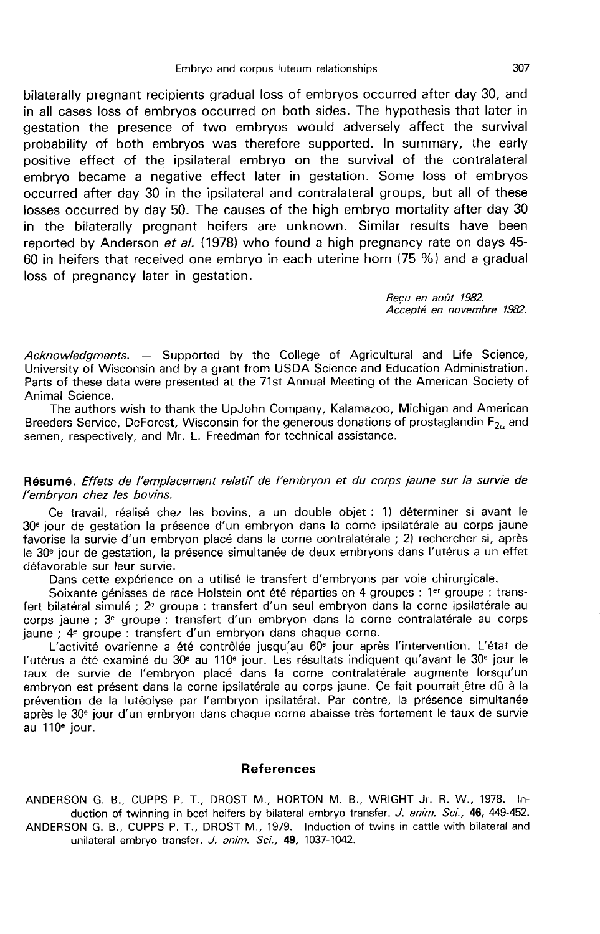bilaterally pregnant recipients gradual loss of embryos occurred after day 30, and in all cases loss of embryos occurred on both sides. The hypothesis that later in gestation the presence of two embryos would adversely affect the survival probability of both embryos was therefore supported. In summary, the early positive effect of the ipsilateral embryo on the survival of the contralateral embryo became a negative effect later in gestation. Some loss of embryos occurred after day 30 in the ipsilateral and contralateral groups, but all of these losses occurred by day 50. The causes of the high embryo mortality after day 30 in the bilaterally pregnant heifers are unknown. Similar results have been reported by Anderson *et al.* (1978) who found a high pregnancy rate on days 45-60 in heifers that received one embryo in each uterine horn (75 %) and a gradual loss of pregnancy later in gestation.

> Recu en août 1982. Accepté en novembre 1982.

 $Acknowledgments. - Subported by the College of Agricultural and Life Science,$ University of Wisconsin and by a grant from USDA Science and Education Administration. Parts of these data were presented at the 71st Annual Meeting of the American Society of Animal Science.

The authors wish to thank the UpJohn Company, Kalamazoo, Michigan and American Breeders Service, DeForest, Wisconsin for the generous donations of prostaglandin  $F_{2\alpha}$  and semen, respectively, and Mr. L. Freedman for technical assistance.

Résumé. Effets de l'emplacement relatif de l'embryon et du corps jaune sur la survie de l'embryon chez les bovins.

Ce travail, réalisé chez les bovins, a un double objet : 1) déterminer si avant le 30e jour de gestation la présence d'un embryon dans la corne ipsilatérale au corps jaune favorise la survie d'un embryon placé dans la corne contralatérale ; 2) rechercher si, après le 30e jour de gestation, la présence simultanée de deux embryons dans l'utérus a un effet défavorable sur leur survie.

Dans cette expérience on a utilisé le transfert d'embryons par voie chirurgicale.

Soixante génisses de race Holstein ont été réparties en 4 groupes : 1er groupe : transfert bilatéral simulé ; 2e groupe : transfert d'un seul embryon dans la corne ipsilatérale au corps jaune ; 3e groupe : transfert d'un embryon dans la corne contralatérale au corps jaune ; 4e groupe : transfert d'un embryon dans chaque corne.

L'activité ovarienne a été contrôlée jusqu'au 60e jour après l'intervention. L'état de L'activité ovarienne a été contrôlée jusqu'au 60<sup>e</sup> jour après l'intervention. L'état de<br>l'utérus a été examiné du 30<sup>e</sup> au 110<sup>e</sup> jour. Les résultats indiquent qu'avant le 30<sup>e</sup> jour le<br>taux de survie de l'embryon placé d embryon est présent dans la corne ipsilatérale au corps jaune. Ce fait pourrait,être dû à la prévention de la lutéolyse par l'embryon ipsilatéral. Par contre, la présence simultanée prévention de la lutéolyse par l'embryon ipsilatéral. Par contre, la présence simultanée<br>après le 30ª jour d'un embryon dans chaque corne abaisse très fortement le taux de survie<br>au 110ª jour.

### References

ANDERSON G. B., CUPPS P. T., DROST M., HORTON M. B., WRIGHT Jr. R. W., 1978. Induction of twinning in beef heifers by bilateral embryo transfer. J. anim. Sci., 46, 449-452. ANDERSON G. B., CUPPS P. T., DROST M., 1979. Induction of twins in cattle with bilateral and unilateral embryo transfer. J. anim. Sci., 49, 1037-1042.